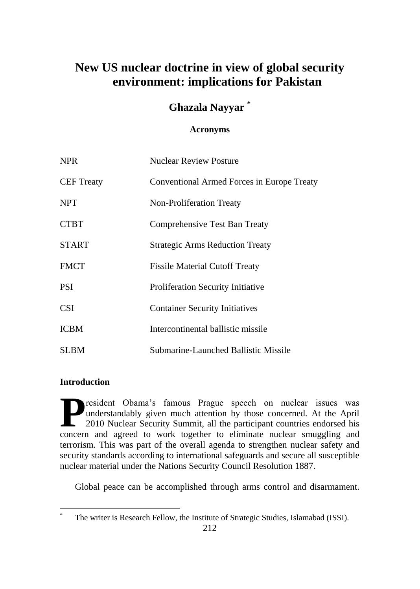# **Ghazala Nayyar \***

# **Acronyms**

| <b>NPR</b>        | <b>Nuclear Review Posture</b>              |  |
|-------------------|--------------------------------------------|--|
| <b>CEF</b> Treaty | Conventional Armed Forces in Europe Treaty |  |
| <b>NPT</b>        | Non-Proliferation Treaty                   |  |
| <b>CTBT</b>       | Comprehensive Test Ban Treaty              |  |
| <b>START</b>      | <b>Strategic Arms Reduction Treaty</b>     |  |
| <b>FMCT</b>       | <b>Fissile Material Cutoff Treaty</b>      |  |
| <b>PSI</b>        | Proliferation Security Initiative          |  |
| <b>CSI</b>        | <b>Container Security Initiatives</b>      |  |
| <b>ICBM</b>       | Intercontinental ballistic missile         |  |
| <b>SLBM</b>       | Submarine-Launched Ballistic Missile       |  |

# **Introduction**

 $\overline{a}$ 

resident Obama"s famous Prague speech on nuclear issues was understandably given much attention by those concerned. At the April 2010 Nuclear Security Summit, all the participant countries endorsed his resident Obama's famous Prague speech on nuclear issues was understandably given much attention by those concerned. At the April 2010 Nuclear Security Summit, all the participant countries endorsed his concern and agreed t terrorism. This was part of the overall agenda to strengthen nuclear safety and security standards according to international safeguards and secure all susceptible nuclear material under the Nations Security Council Resolution 1887.

Global peace can be accomplished through arms control and disarmament.

The writer is Research Fellow, the Institute of Strategic Studies, Islamabad (ISSI).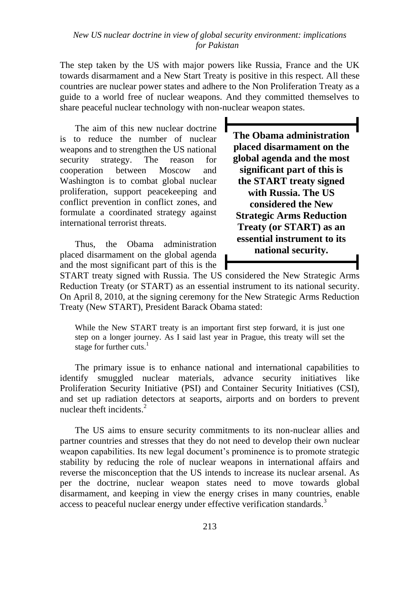The step taken by the US with major powers like Russia, France and the UK towards disarmament and a New Start Treaty is positive in this respect. All these countries are nuclear power states and adhere to the Non Proliferation Treaty as a guide to a world free of nuclear weapons. And they committed themselves to share peaceful nuclear technology with non-nuclear weapon states.

The aim of this new nuclear doctrine is to reduce the number of nuclear weapons and to strengthen the US national security strategy. The reason for cooperation between Moscow and Washington is to combat global nuclear proliferation, support peacekeeping and conflict prevention in conflict zones, and formulate a coordinated strategy against international terrorist threats.

Thus, the Obama administration placed disarmament on the global agenda and the most significant part of this is the **The Obama administration placed disarmament on the global agenda and the most significant part of this is the START treaty signed with Russia. The US considered the New Strategic Arms Reduction Treaty (or START) as an essential instrument to its national security.**

START treaty signed with Russia. The US considered the New Strategic Arms Reduction Treaty (or START) as an essential instrument to its national security. On April 8, 2010, at the signing ceremony for the New Strategic Arms Reduction Treaty (New START), President Barack Obama stated:

While the New START treaty is an important first step forward, it is just one step on a longer journey. As I said last year in Prague, this treaty will set the stage for further cuts. $<sup>1</sup>$ </sup>

The primary issue is to enhance national and international capabilities to identify smuggled nuclear materials, advance security initiatives like Proliferation Security Initiative (PSI) and Container Security Initiatives (CSI), and set up radiation detectors at seaports, airports and on borders to prevent nuclear theft incidents. $^{2}$ 

The US aims to ensure security commitments to its non-nuclear allies and partner countries and stresses that they do not need to develop their own nuclear weapon capabilities. Its new legal document"s prominence is to promote strategic stability by reducing the role of nuclear weapons in international affairs and reverse the misconception that the US intends to increase its nuclear arsenal. As per the doctrine, nuclear weapon states need to move towards global disarmament, and keeping in view the energy crises in many countries, enable access to peaceful nuclear energy under effective verification standards.<sup>3</sup>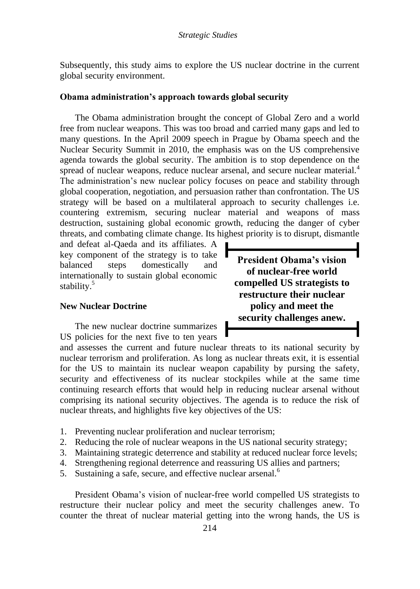Subsequently, this study aims to explore the US nuclear doctrine in the current global security environment.

#### **Obama administration's approach towards global security**

The Obama administration brought the concept of Global Zero and a world free from nuclear weapons. This was too broad and carried many gaps and led to many questions. In the April 2009 speech in Prague by Obama speech and the Nuclear Security Summit in 2010, the emphasis was on the US comprehensive agenda towards the global security. The ambition is to stop dependence on the spread of nuclear weapons, reduce nuclear arsenal, and secure nuclear material. $4$ The administration"s new nuclear policy focuses on peace and stability through global cooperation, negotiation, and persuasion rather than confrontation. The US strategy will be based on a multilateral approach to security challenges i.e. countering extremism, securing nuclear material and weapons of mass destruction, sustaining global economic growth, reducing the danger of cyber threats, and combating climate change. Its highest priority is to disrupt, dismantle

and defeat al-Qaeda and its affiliates. A key component of the strategy is to take balanced steps domestically and internationally to sustain global economic stability.<sup>5</sup>

**President Obama's vision of nuclear-free world compelled US strategists to restructure their nuclear policy and meet the security challenges anew.**

## **New Nuclear Doctrine**

The new nuclear doctrine summarizes US policies for the next five to ten years

and assesses the current and future nuclear threats to its national security by nuclear terrorism and proliferation. As long as nuclear threats exit, it is essential for the US to maintain its nuclear weapon capability by pursing the safety, security and effectiveness of its nuclear stockpiles while at the same time continuing research efforts that would help in reducing nuclear arsenal without comprising its national security objectives. The agenda is to reduce the risk of nuclear threats, and highlights five key objectives of the US:

- 1. Preventing nuclear proliferation and nuclear terrorism;
- 2. Reducing the role of nuclear weapons in the US national security strategy;
- 3. Maintaining strategic deterrence and stability at reduced nuclear force levels;
- 4. Strengthening regional deterrence and reassuring US allies and partners;
- 5. Sustaining a safe, secure, and effective nuclear arsenal. $<sup>6</sup>$ </sup>

President Obama"s vision of nuclear-free world compelled US strategists to restructure their nuclear policy and meet the security challenges anew. To counter the threat of nuclear material getting into the wrong hands, the US is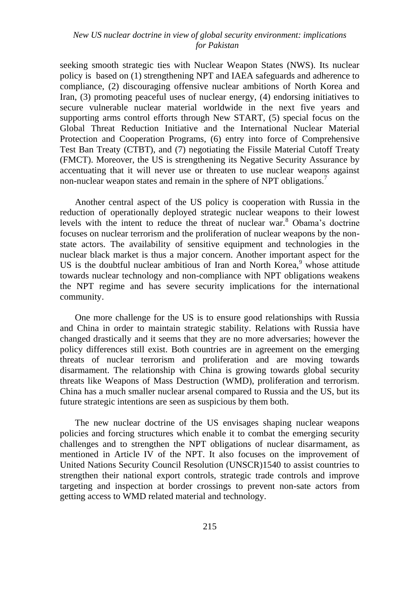seeking smooth strategic ties with Nuclear Weapon States (NWS). Its nuclear policy is based on (1) strengthening NPT and IAEA safeguards and adherence to compliance, (2) discouraging offensive nuclear ambitions of North Korea and Iran, (3) promoting peaceful uses of nuclear energy, (4) endorsing initiatives to secure vulnerable nuclear material worldwide in the next five years and supporting arms control efforts through New START, (5) special focus on the Global Threat Reduction Initiative and the International Nuclear Material Protection and Cooperation Programs, (6) entry into force of Comprehensive Test Ban Treaty (CTBT), and (7) negotiating the Fissile Material Cutoff Treaty (FMCT). Moreover, the US is strengthening its Negative Security Assurance by accentuating that it will never use or threaten to use nuclear weapons against non-nuclear weapon states and remain in the sphere of NPT obligations.<sup>7</sup>

Another central aspect of the US policy is cooperation with Russia in the reduction of operationally deployed strategic nuclear weapons to their lowest levels with the intent to reduce the threat of nuclear war.<sup>8</sup> Obama's doctrine focuses on nuclear terrorism and the proliferation of nuclear weapons by the nonstate actors. The availability of sensitive equipment and technologies in the nuclear black market is thus a major concern. Another important aspect for the US is the doubtful nuclear ambitious of Iran and North  $\overline{K}$  veca,  $\overline{S}$  whose attitude towards nuclear technology and non-compliance with NPT obligations weakens the NPT regime and has severe security implications for the international community.

One more challenge for the US is to ensure good relationships with Russia and China in order to maintain strategic stability. Relations with Russia have changed drastically and it seems that they are no more adversaries; however the policy differences still exist. Both countries are in agreement on the emerging threats of nuclear terrorism and proliferation and are moving towards disarmament. The relationship with China is growing towards global security threats like Weapons of Mass Destruction (WMD), proliferation and terrorism. China has a much smaller nuclear arsenal compared to Russia and the US, but its future strategic intentions are seen as suspicious by them both.

The new nuclear doctrine of the US envisages shaping nuclear weapons policies and forcing structures which enable it to combat the emerging security challenges and to strengthen the NPT obligations of nuclear disarmament, as mentioned in Article IV of the NPT. It also focuses on the improvement of United Nations Security Council Resolution (UNSCR)1540 to assist countries to strengthen their national export controls, strategic trade controls and improve targeting and inspection at border crossings to prevent non-sate actors from getting access to WMD related material and technology.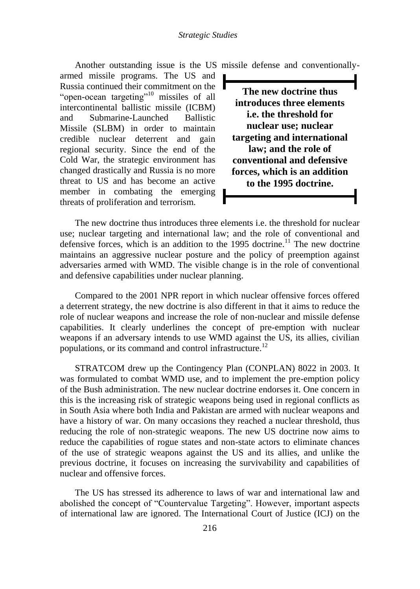Another outstanding issue is the US missile defense and conventionally-

armed missile programs. The US and Russia continued their commitment on the "open-ocean targeting"<sup>10</sup> missiles of all intercontinental ballistic missile (ICBM) and Submarine-Launched Ballistic Missile (SLBM) in order to maintain credible nuclear deterrent and gain regional security. Since the end of the Cold War, the strategic environment has changed drastically and Russia is no more threat to US and has become an active member in combating the emerging threats of proliferation and terrorism.

**The new doctrine thus introduces three elements i.e. the threshold for nuclear use; nuclear targeting and international law; and the role of conventional and defensive forces, which is an addition to the 1995 doctrine.**

The new doctrine thus introduces three elements i.e. the threshold for nuclear use; nuclear targeting and international law; and the role of conventional and defensive forces, which is an addition to the 1995 doctrine.<sup>11</sup> The new doctrine maintains an aggressive nuclear posture and the policy of preemption against adversaries armed with WMD. The visible change is in the role of conventional and defensive capabilities under nuclear planning.

Compared to the 2001 NPR report in which nuclear offensive forces offered a deterrent strategy, the new doctrine is also different in that it aims to reduce the role of nuclear weapons and increase the role of non-nuclear and missile defense capabilities. It clearly underlines the concept of pre-emption with nuclear weapons if an adversary intends to use WMD against the US, its allies, civilian populations, or its command and control infrastructure.<sup>12</sup>

STRATCOM drew up the Contingency Plan (CONPLAN) 8022 in 2003. It was formulated to combat WMD use, and to implement the pre-emption policy of the Bush administration. The new nuclear doctrine endorses it. One concern in this is the increasing risk of strategic weapons being used in regional conflicts as in South Asia where both India and Pakistan are armed with nuclear weapons and have a history of war. On many occasions they reached a nuclear threshold, thus reducing the role of non-strategic weapons. The new US doctrine now aims to reduce the capabilities of rogue states and non-state actors to eliminate chances of the use of strategic weapons against the US and its allies, and unlike the previous doctrine, it focuses on increasing the survivability and capabilities of nuclear and offensive forces.

The US has stressed its adherence to laws of war and international law and abolished the concept of "Countervalue Targeting". However, important aspects of international law are ignored. The International Court of Justice (ICJ) on the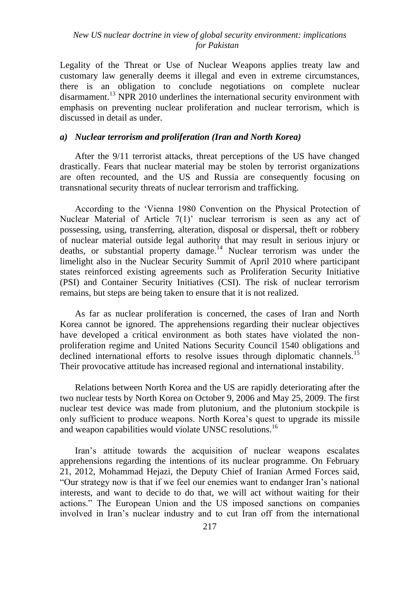Legality of the Threat or Use of Nuclear Weapons applies treaty law and customary law generally deems it illegal and even in extreme circumstances, there is an obligation to conclude negotiations on complete nuclear disarmament.<sup>13</sup> NPR 2010 underlines the international security environment with emphasis on preventing nuclear proliferation and nuclear terrorism, which is discussed in detail as under.

#### *a) Nuclear terrorism and proliferation (Iran and North Korea)*

After the 9/11 terrorist attacks, threat perceptions of the US have changed drastically. Fears that nuclear material may be stolen by terrorist organizations are often recounted, and the US and Russia are consequently focusing on transnational security threats of nuclear terrorism and trafficking.

According to the "Vienna 1980 Convention on the Physical Protection of Nuclear Material of Article 7(1)' nuclear terrorism is seen as any act of possessing, using, transferring, alteration, disposal or dispersal, theft or robbery of nuclear material outside legal authority that may result in serious injury or deaths, or substantial property damage.<sup>14</sup> Nuclear terrorism was under the limelight also in the Nuclear Security Summit of April 2010 where participant states reinforced existing agreements such as Proliferation Security Initiative (PSI) and Container Security Initiatives (CSI). The risk of nuclear terrorism remains, but steps are being taken to ensure that it is not realized.

As far as nuclear proliferation is concerned, the cases of Iran and North Korea cannot be ignored. The apprehensions regarding their nuclear objectives have developed a critical environment as both states have violated the nonproliferation regime and United Nations Security Council 1540 obligations and declined international efforts to resolve issues through diplomatic channels.<sup>15</sup> Their provocative attitude has increased regional and international instability.

Relations between North Korea and the US are rapidly deteriorating after the two nuclear tests by North Korea on October 9, 2006 and May 25, 2009. The first nuclear test device was made from plutonium, and the plutonium stockpile is only sufficient to produce weapons. North Korea"s quest to upgrade its missile and weapon capabilities would violate UNSC resolutions.<sup>16</sup>

Iran"s attitude towards the acquisition of nuclear weapons escalates apprehensions regarding the intentions of its nuclear programme. On February 21, 2012, Mohammad Hejazi, the Deputy Chief of Iranian Armed Forces said, "Our strategy now is that if we feel our enemies want to endanger Iran"s national interests, and want to decide to do that, we will act without waiting for their actions." The European Union and the US imposed sanctions on companies involved in Iran"s nuclear industry and to cut Iran off from the international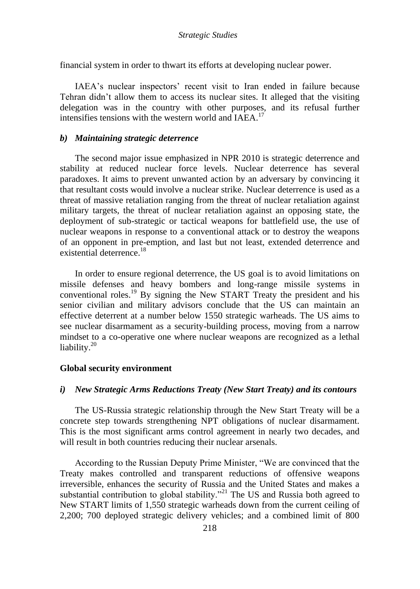financial system in order to thwart its efforts at developing nuclear power.

IAEA's nuclear inspectors' recent visit to Iran ended in failure because Tehran didn"t allow them to access its nuclear sites. It alleged that the visiting delegation was in the country with other purposes, and its refusal further intensifies tensions with the western world and  $IAEA$ <sup>17</sup>

#### *b) Maintaining strategic deterrence*

The second major issue emphasized in NPR 2010 is strategic deterrence and stability at reduced nuclear force levels. Nuclear deterrence has several paradoxes. It aims to prevent unwanted action by an adversary by convincing it that resultant costs would involve a nuclear strike. Nuclear deterrence is used as a threat of massive retaliation ranging from the threat of nuclear retaliation against military targets, the threat of nuclear retaliation against an opposing state, the deployment of sub-strategic or tactical weapons for battlefield use, the use of nuclear weapons in response to a conventional attack or to destroy the weapons of an opponent in pre-emption, and last but not least, extended deterrence and existential deterrence.<sup>18</sup>

In order to ensure regional deterrence, the US goal is to avoid limitations on missile defenses and heavy bombers and long-range missile systems in conventional roles.<sup>19</sup> By signing the New START Treaty the president and his senior civilian and military advisors conclude that the US can maintain an effective deterrent at a number below 1550 strategic warheads. The US aims to see nuclear disarmament as a security-building process, moving from a narrow mindset to a co-operative one where nuclear weapons are recognized as a lethal liability.<sup>20</sup>

#### **Global security environment**

# *i) New Strategic Arms Reductions Treaty (New Start Treaty) and its contours*

The US-Russia strategic relationship through the New Start Treaty will be a concrete step towards strengthening NPT obligations of nuclear disarmament. This is the most significant arms control agreement in nearly two decades, and will result in both countries reducing their nuclear arsenals.

According to the Russian Deputy Prime Minister, "We are convinced that the Treaty makes controlled and transparent reductions of offensive weapons irreversible, enhances the security of Russia and the United States and makes a substantial contribution to global stability.<sup> $21$ </sup> The US and Russia both agreed to New START limits of 1,550 strategic warheads down from the current ceiling of 2,200; 700 deployed strategic delivery vehicles; and a combined limit of 800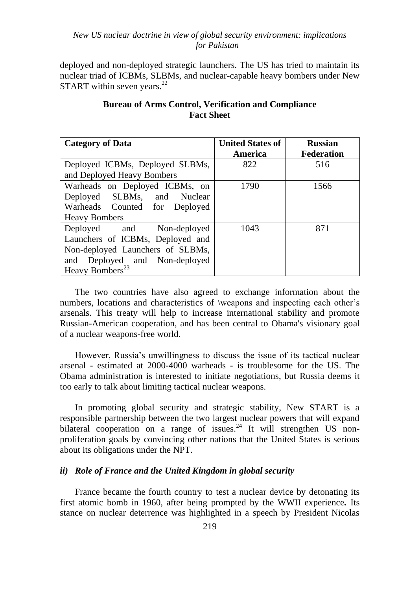deployed and non-deployed strategic launchers. The US has tried to maintain its nuclear triad of ICBMs, SLBMs, and nuclear-capable heavy bombers under New START within seven years. $22$ 

### **Bureau of Arms Control, Verification and Compliance Fact Sheet**

| <b>Category of Data</b>          | <b>United States of</b> | <b>Russian</b>    |
|----------------------------------|-------------------------|-------------------|
|                                  | America                 | <b>Federation</b> |
| Deployed ICBMs, Deployed SLBMs,  | 822                     | 516               |
| and Deployed Heavy Bombers       |                         |                   |
| Warheads on Deployed ICBMs, on   | 1790                    | 1566              |
| Deployed SLBMs, and Nuclear      |                         |                   |
| Warheads Counted for Deployed    |                         |                   |
| <b>Heavy Bombers</b>             |                         |                   |
| Deployed and Non-deployed        | 1043                    | 871               |
| Launchers of ICBMs, Deployed and |                         |                   |
| Non-deployed Launchers of SLBMs, |                         |                   |
| Deployed and Non-deployed<br>and |                         |                   |
| Heavy Bombers <sup>23</sup>      |                         |                   |

The two countries have also agreed to exchange information about the numbers, locations and characteristics of \weapons and inspecting each other's arsenals. This treaty will help to increase international stability and promote Russian-American cooperation, and has been central to Obama's visionary goal of a nuclear weapons-free world.

However, Russia"s unwillingness to discuss the issue of its tactical nuclear arsenal - estimated at 2000-4000 warheads - is troublesome for the US. The Obama administration is interested to initiate negotiations, but Russia deems it too early to talk about limiting tactical nuclear weapons.

In promoting global security and strategic stability, New START is a responsible partnership between the two largest nuclear powers that will expand bilateral cooperation on a range of issues.<sup>24</sup> It will strengthen US nonproliferation goals by convincing other nations that the United States is serious about its obligations under the NPT.

## *ii) Role of France and the United Kingdom in global security*

France became the fourth country to test a nuclear device by detonating its first atomic bomb in 1960, after being prompted by the WWII experience*.* Its stance on nuclear deterrence was highlighted in a speech by President Nicolas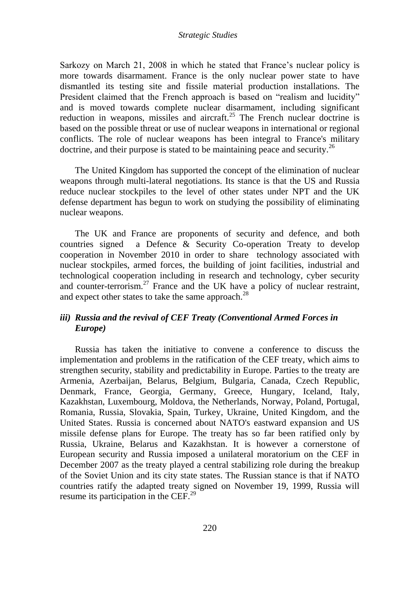#### *Strategic Studies*

Sarkozy on March 21, 2008 in which he stated that France"s nuclear policy is more towards disarmament. France is the only nuclear power state to have dismantled its testing site and fissile material production installations. The President claimed that the French approach is based on "realism and lucidity" and is moved towards complete nuclear disarmament, including significant reduction in weapons, missiles and aircraft.<sup>25</sup> The French nuclear doctrine is based on the possible threat or use of nuclear weapons in international or regional conflicts. The role of nuclear weapons has been integral to France's military doctrine, and their purpose is stated to be maintaining peace and security.<sup>26</sup>

The United Kingdom has supported the concept of the elimination of nuclear weapons through multi-lateral negotiations. Its stance is that the US and Russia reduce nuclear stockpiles to the level of other states under NPT and the UK defense department has begun to work on studying the possibility of eliminating nuclear weapons.

The UK and France are proponents of security and defence, and both countries signed a Defence & Security Co-operation Treaty to develop cooperation in November 2010 in order to share technology associated with nuclear stockpiles, armed forces, the building of joint facilities, industrial and technological cooperation including in research and technology, cyber security and counter-terrorism.<sup>27</sup> France and the UK have a policy of nuclear restraint, and expect other states to take the same approach.<sup>28</sup>

# *iii) Russia and the revival of CEF Treaty (Conventional Armed Forces in Europe)*

Russia has taken the initiative to convene a conference to discuss the implementation and problems in the ratification of the CEF treaty, which aims to strengthen security, stability and predictability in Europe. Parties to the treaty are Armenia, Azerbaijan, Belarus, Belgium, Bulgaria, Canada, Czech Republic, Denmark, France, Georgia, Germany, Greece, Hungary, Iceland, Italy, Kazakhstan, Luxembourg, Moldova, the Netherlands, Norway, Poland, Portugal, Romania, Russia, Slovakia, Spain, Turkey, Ukraine, United Kingdom, and the United States. Russia is concerned about NATO's eastward expansion and US missile defense plans for Europe. The treaty has so far been ratified only by Russia, Ukraine, Belarus and Kazakhstan. It is however a cornerstone of European security and Russia imposed a unilateral moratorium on the CEF in December 2007 as the treaty played a central stabilizing role during the breakup of the Soviet Union and its city state states. The Russian stance is that if NATO countries ratify the adapted treaty signed on November 19, 1999, Russia will resume its participation in the CEF.<sup>29</sup>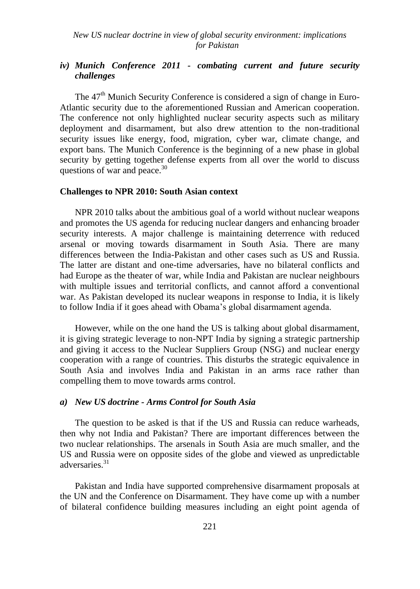# *iv) Munich Conference 2011 - combating current and future security challenges*

The 47<sup>th</sup> Munich Security Conference is considered a sign of change in Euro-Atlantic security due to the aforementioned Russian and American cooperation. The conference not only highlighted nuclear security aspects such as military deployment and disarmament, but also drew attention to the non-traditional security issues like energy, food, migration, cyber war, climate change, and export bans. The Munich Conference is the beginning of a new phase in global security by getting together defense experts from all over the world to discuss questions of war and peace. $30$ 

#### **Challenges to NPR 2010: South Asian context**

NPR 2010 talks about the ambitious goal of a world without nuclear weapons and promotes the US agenda for reducing nuclear dangers and enhancing broader security interests. A major challenge is maintaining deterrence with reduced arsenal or moving towards disarmament in South Asia. There are many differences between the India-Pakistan and other cases such as US and Russia. The latter are distant and one-time adversaries, have no bilateral conflicts and had Europe as the theater of war, while India and Pakistan are nuclear neighbours with multiple issues and territorial conflicts, and cannot afford a conventional war. As Pakistan developed its nuclear weapons in response to India, it is likely to follow India if it goes ahead with Obama"s global disarmament agenda.

However, while on the one hand the US is talking about global disarmament, it is giving strategic leverage to non-NPT India by signing a strategic partnership and giving it access to the Nuclear Suppliers Group (NSG) and nuclear energy cooperation with a range of countries. This disturbs the strategic equivalence in South Asia and involves India and Pakistan in an arms race rather than compelling them to move towards arms control.

#### *a) New US doctrine - Arms Control for South Asia*

The question to be asked is that if the US and Russia can reduce warheads, then why not India and Pakistan? There are important differences between the two nuclear relationships. The arsenals in South Asia are much smaller, and the US and Russia were on opposite sides of the globe and viewed as unpredictable adversaries.<sup>31</sup>

Pakistan and India have supported comprehensive disarmament proposals at the UN and the Conference on Disarmament. They have come up with a number of bilateral confidence building measures including an eight point agenda of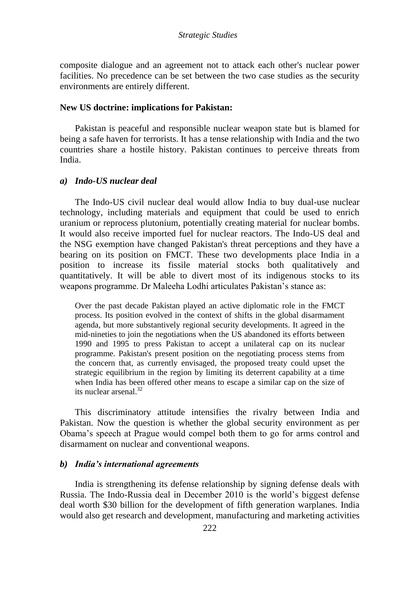#### *Strategic Studies*

composite dialogue and an agreement not to attack each other's nuclear power facilities. No precedence can be set between the two case studies as the security environments are entirely different.

#### **New US doctrine: implications for Pakistan:**

Pakistan is peaceful and responsible nuclear weapon state but is blamed for being a safe haven for terrorists. It has a tense relationship with India and the two countries share a hostile history. Pakistan continues to perceive threats from India.

#### *a) Indo-US nuclear deal*

The Indo-US civil nuclear deal would allow India to buy dual-use nuclear technology, including materials and equipment that could be used to enrich uranium or reprocess plutonium, potentially creating material for nuclear bombs. It would also receive imported fuel for nuclear reactors. The Indo-US deal and the NSG exemption have changed Pakistan's threat perceptions and they have a bearing on its position on FMCT. These two developments place India in a position to increase its fissile material stocks both qualitatively and quantitatively. It will be able to divert most of its indigenous stocks to its weapons programme. Dr Maleeha Lodhi articulates Pakistan"s stance as:

Over the past decade Pakistan played an active diplomatic role in the FMCT process. Its position evolved in the context of shifts in the global disarmament agenda, but more substantively regional security developments. It agreed in the mid-nineties to join the negotiations when the US abandoned its efforts between 1990 and 1995 to press Pakistan to accept a unilateral cap on its nuclear programme. Pakistan's present position on the negotiating process stems from the concern that, as currently envisaged, the proposed treaty could upset the strategic equilibrium in the region by limiting its deterrent capability at a time when India has been offered other means to escape a similar cap on the size of its nuclear arsenal  $32$ 

This discriminatory attitude intensifies the rivalry between India and Pakistan. Now the question is whether the global security environment as per Obama"s speech at Prague would compel both them to go for arms control and disarmament on nuclear and conventional weapons.

# *b) India's international agreements*

India is strengthening its defense relationship by signing defense deals with Russia. The Indo-Russia deal in December 2010 is the world"s biggest defense deal worth \$30 billion for the development of fifth generation warplanes. India would also get research and development, manufacturing and marketing activities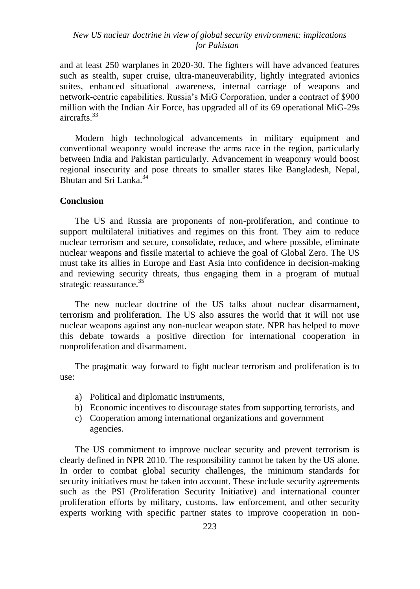and at least 250 warplanes in 2020-30. The fighters will have advanced features such as stealth, super cruise, ultra-maneuverability, lightly integrated avionics suites, enhanced situational awareness, internal carriage of weapons and network-centric capabilities. Russia"s MiG Corporation, under a contract of \$900 million with the Indian Air Force, has upgraded all of its 69 operational MiG-29s aircrafts<sup>33</sup>

Modern high technological advancements in military equipment and conventional weaponry would increase the arms race in the region, particularly between India and Pakistan particularly. Advancement in weaponry would boost regional insecurity and pose threats to smaller states like Bangladesh, Nepal, Bhutan and Sri Lanka.<sup>34</sup>

#### **Conclusion**

The US and Russia are proponents of non-proliferation, and continue to support multilateral initiatives and regimes on this front. They aim to reduce nuclear terrorism and secure, consolidate, reduce, and where possible, eliminate nuclear weapons and fissile material to achieve the goal of Global Zero. The US must take its allies in Europe and East Asia into confidence in decision-making and reviewing security threats, thus engaging them in a program of mutual strategic reassurance. $35$ 

The new nuclear doctrine of the US talks about nuclear disarmament, terrorism and proliferation. The US also assures the world that it will not use nuclear weapons against any non-nuclear weapon state. NPR has helped to move this debate towards a positive direction for international cooperation in nonproliferation and disarmament.

The pragmatic way forward to fight nuclear terrorism and proliferation is to use:

- a) Political and diplomatic instruments,
- b) Economic incentives to discourage states from supporting terrorists, and
- c) Cooperation among international organizations and government agencies.

The US commitment to improve nuclear security and prevent terrorism is clearly defined in NPR 2010. The responsibility cannot be taken by the US alone. In order to combat global security challenges, the minimum standards for security initiatives must be taken into account. These include security agreements such as the PSI (Proliferation Security Initiative) and international counter proliferation efforts by military, customs, law enforcement, and other security experts working with specific partner states to improve cooperation in non-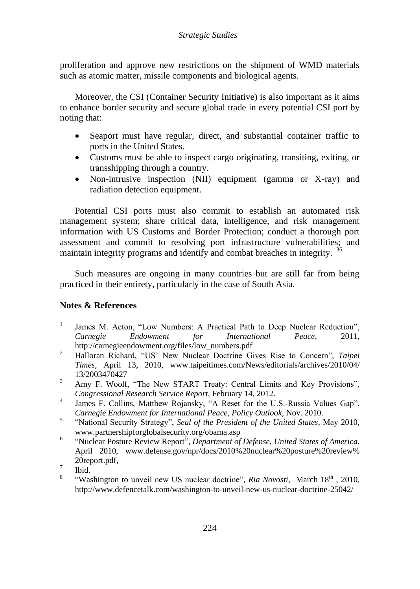# *Strategic Studies*

proliferation and approve new restrictions on the shipment of WMD materials such as atomic matter, missile components and biological agents.

Moreover, the CSI (Container Security Initiative) is also important as it aims to enhance border security and secure global trade in every potential CSI port by noting that:

- Seaport must have regular, direct, and substantial container traffic to ports in the United States.
- Customs must be able to inspect cargo originating, transiting, exiting, or transshipping through a country.
- Non-intrusive inspection (NII) equipment (gamma or X-ray) and radiation detection equipment.

Potential CSI ports must also commit to establish an automated risk management system; share critical data, intelligence, and risk management information with US Customs and Border Protection; conduct a thorough port assessment and commit to resolving port infrastructure vulnerabilities; and maintain integrity programs and identify and combat breaches in integrity. <sup>36</sup>

Such measures are ongoing in many countries but are still far from being practiced in their entirety, particularly in the case of South Asia.

# **Notes & References**

- $\frac{1}{1}$ James M. Acton, "Low Numbers: A Practical Path to Deep Nuclear Reduction", *Carnegie Endowment for International Peace,* 2011*,*  http://carnegieendowment.org/files/low\_numbers.pdf
- <sup>2</sup> Halloran Richard, "US" New Nuclear Doctrine Gives Rise to Concern", *Taipei Times*, April 13, 2010, www.taipeitimes.com/News/editorials/archives/2010/04/ 13/2003470427
- <sup>3</sup> Amy F. Woolf, "The New START Treaty: Central Limits and Key Provisions", *Congressional Research Service Report*, February 14, 2012.
- 4 James F. Collins, Matthew Rojansky, "A Reset for the U.S.-Russia Values Gap", *Carnegie Endowment for International Peace, Policy Outlook*, Nov. 2010.
- 5 "National Security Strategy", *Seal of the President of the United States,* May 2010, www.partnershipforglobalsecurity.org/obama.asp
- 6 "Nuclear Posture Review Report", *Department of Defense, United States of America*, April 2010, www.defense.gov/npr/docs/2010%20nuclear%20posture%20review% 20report.pdf,

8 "Washington to unveil new US nuclear doctrine", *Ria Novosti,* March 18th , 2010, http://www.defencetalk.com/washington-to-unveil-new-us-nuclear-doctrine-25042/

<sup>7</sup> Ibid.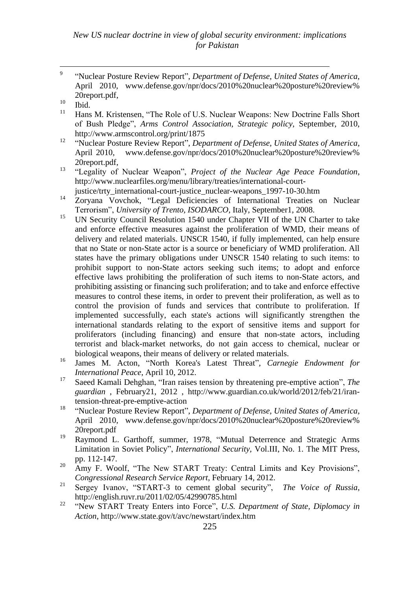-<br>9 "Nuclear Posture Review Report", *Department of Defense, United States of America,* April 2010, www.defense.gov/npr/docs/2010%20nuclear%20posture%20review% 20report.pdf,

- Hans M. Kristensen, "The Role of U.S. Nuclear Weapons: New Doctrine Falls Short of Bush Pledge", *Arms Control Association, Strategic policy*, September, 2010, http://www.armscontrol.org/print/1875
- <sup>12</sup> "Nuclear Posture Review Report", *Department of Defense, United States of America*, April 2010, www.defense.gov/npr/docs/2010%20nuclear%20posture%20review% 20report.pdf,
- <sup>13</sup> "Legality of Nuclear Weapon", *Project of the Nuclear Age Peace Foundation*, http://www.nuclearfiles.org/menu/library/treaties/international-court-
- justice/trty\_international-court-justice\_nuclear-weapons\_1997-10-30.htm
- <sup>14</sup> Zoryana Vovchok, "Legal Deficiencies of International Treaties on Nuclear Terrorism", *University of Trento, ISODARCO,* Italy, September1, 2008.
- <sup>15</sup> UN Security Council Resolution 1540 under Chapter VII of the UN Charter to take and enforce effective measures against the proliferation of WMD, their means of delivery and related materials. UNSCR 1540, if fully implemented, can help ensure that no State or non-State actor is a source or beneficiary of WMD proliferation. All states have the primary obligations under UNSCR 1540 relating to such items: to prohibit support to non-State actors seeking such items; to adopt and enforce effective laws prohibiting the proliferation of such items to non-State actors, and prohibiting assisting or financing such proliferation; and to take and enforce effective measures to control these items, in order to prevent their proliferation, as well as to control the provision of funds and services that contribute to proliferation. If implemented successfully, each state's actions will significantly strengthen the international standards relating to the export of sensitive items and support for proliferators (including financing) and ensure that non-state actors, including terrorist and black-market networks, do not gain access to chemical, nuclear or biological weapons, their means of delivery or related materials.
- 16 James M. Acton, "North Korea's Latest Threat"*, Carnegie Endowment for International Peace*, April 10, 2012.
- <sup>17</sup> Saeed Kamali Dehghan, "Iran raises tension by threatening pre-emptive action", *The guardian* , February21, 2012 , http://www.guardian.co.uk/world/2012/feb/21/irantension-threat-pre-emptive-action
- <sup>18</sup> "Nuclear Posture Review Report", *Department of Defense, United States of America*, April 2010, www.defense.gov/npr/docs/2010%20nuclear%20posture%20review% 20report.pdf
- <sup>19</sup> Raymond L. Garthoff, summer, 1978, "Mutual Deterrence and Strategic Arms Limitation in Soviet Policy", *International Security,* Vol.III, No. 1. The MIT Press, pp. 112-147.
- <sup>20</sup> Amy F. Woolf, "The New START Treaty: Central Limits and Key Provisions", *Congressional Research Service Report*, February 14, 2012.
- <sup>21</sup> Sergey Ivanov, "START-3 to cement global security", *The Voice of Russia*, http://english.ruvr.ru/2011/02/05/42990785.html
- <sup>22</sup> "New START Treaty Enters into Force", *U.S. Department of State, Diplomacy in Action,* http://www.state.gov/t/avc/newstart/index.htm

 $\begin{bmatrix} 10 \\ 11 \end{bmatrix}$  Ibid.